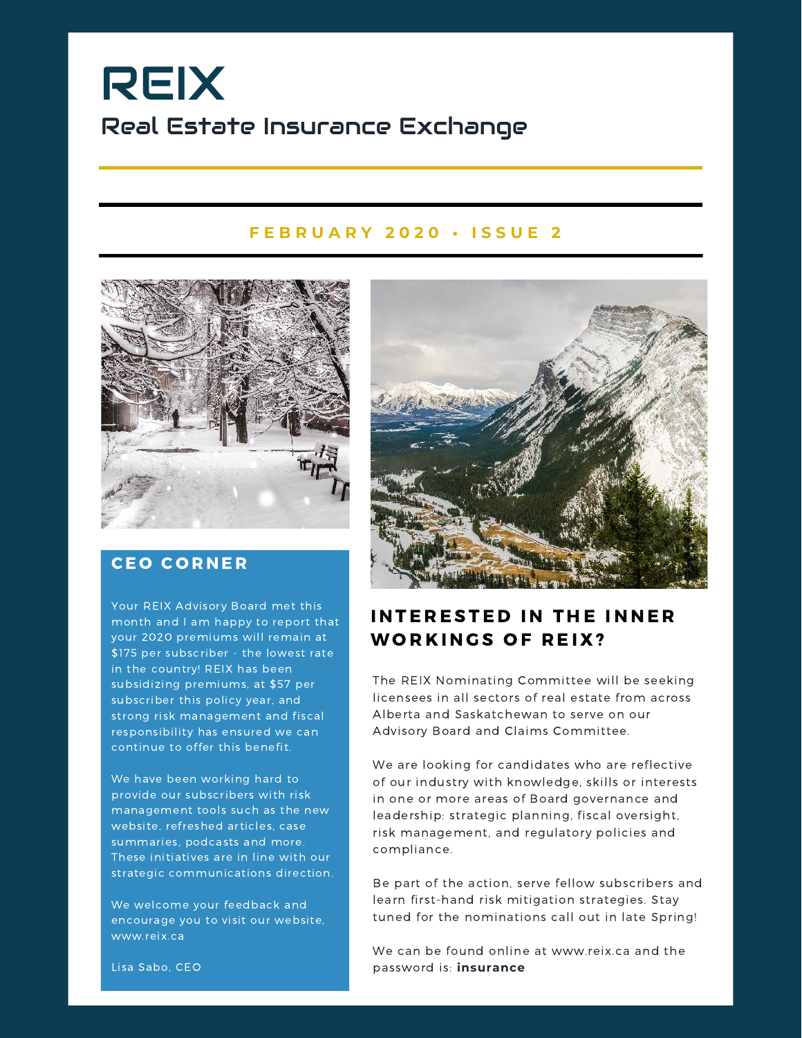# REIX Real Estate Insurance Exchange

#### **F E B R U A R Y 2 0 2 0 • I S S U E 2**



### **CEO CORNER**

Your REIX Advisory Board met this month and I am happy to report that your 2020 premiums will remain at \$175 per subscriber - the lowest rate in the country! REIX has been subsidizing premiums, at \$57 per subscriber this policy year, and strong risk management and fiscal responsibility has ensured we can continue to offer this benefit.

We have been working hard to provide our subscribers with risk management tools such as the new website, refreshed articles, case summaries, podcasts and more. These initiatives are in line with our strategic communications direction.

We welcome your feedback and encourage you to visit our website, www.reix.ca



### INTERESTED IN THE INNER WORKINGS OF REIX?

The REIX Nominating Committee will be seeking licensees in all sectors of real estate from across Alberta and Saskatchewan to serve on our Advisory Board and Claims Committee.

We are looking for candidates who are reflective of our industry with knowledge, skills or interests in one or more areas of Board governance and leadership: strategic planning, fiscal oversight, risk management, and regulatory policies and compliance.

Be part of the action, serve fellow subscribers and learn first-hand risk mitigation strategies. Stay tuned for the nominations call out in late Spring!

We can be found online at www.reix.ca and the password is: **insurance**

Lisa Sabo, CEO